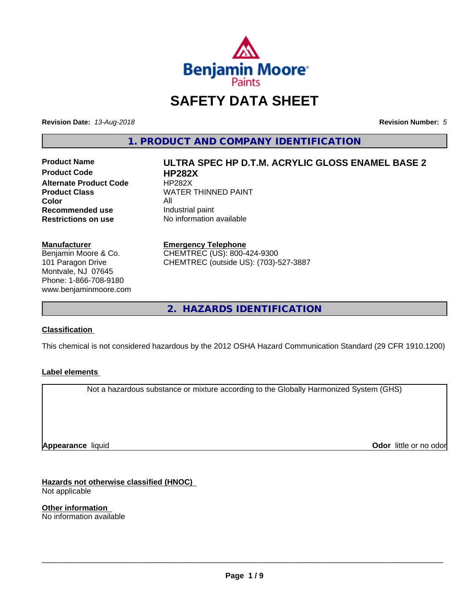

# **SAFETY DATA SHEET**

**Revision Date:** *13-Aug-2018* **Revision Number:** *5*

**1. PRODUCT AND COMPANY IDENTIFICATION**

**Product Code HP282X Alternate Product Code HP282X**<br>**Product Class NATER Color**<br> **Recommended use** The Industrial paint **Recommended use**<br>Restrictions on use

# **Product Name ULTRA SPEC HP D.T.M. ACRYLIC GLOSS ENAMEL BASE 2 WATER THINNED PAINT**

**No information available** 

**Manufacturer** Benjamin Moore & Co. 101 Paragon Drive Montvale, NJ 07645 Phone: 1-866-708-9180 www.benjaminmoore.com

**Emergency Telephone** CHEMTREC (US): 800-424-9300 CHEMTREC (outside US): (703)-527-3887

**2. HAZARDS IDENTIFICATION**

#### **Classification**

This chemical is not considered hazardous by the 2012 OSHA Hazard Communication Standard (29 CFR 1910.1200)

#### **Label elements**

Not a hazardous substance or mixture according to the Globally Harmonized System (GHS)

**Appearance** liquid

**Odor** little or no odor

**Hazards not otherwise classified (HNOC)** Not applicable

**Other information** No information available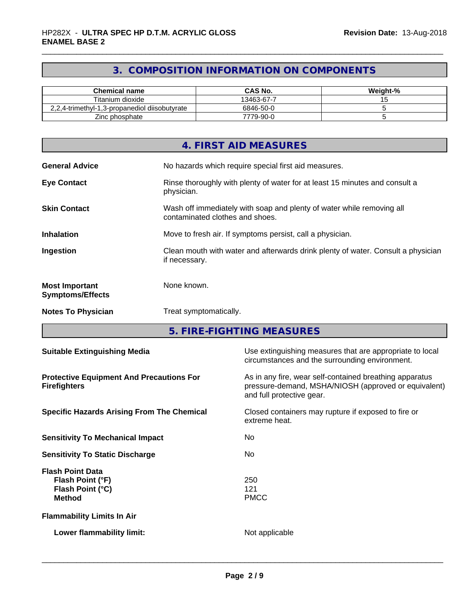# **3. COMPOSITION INFORMATION ON COMPONENTS**

| Chemical name                                 | CAS No.    | Weight-% |
|-----------------------------------------------|------------|----------|
| Titanium dioxide                              | 13463-67-7 |          |
| 2,2,4-trimethyl-1,3-propanediol diisobutyrate | 6846-50-0  |          |
| Zinc phosphate                                | 7779-90-0  |          |

|                                                  | 4. FIRST AID MEASURES                                                                                    |
|--------------------------------------------------|----------------------------------------------------------------------------------------------------------|
| <b>General Advice</b>                            | No hazards which require special first aid measures.                                                     |
| <b>Eye Contact</b>                               | Rinse thoroughly with plenty of water for at least 15 minutes and consult a<br>physician.                |
| <b>Skin Contact</b>                              | Wash off immediately with soap and plenty of water while removing all<br>contaminated clothes and shoes. |
| <b>Inhalation</b>                                | Move to fresh air. If symptoms persist, call a physician.                                                |
| Ingestion                                        | Clean mouth with water and afterwards drink plenty of water. Consult a physician<br>if necessary.        |
| <b>Most Important</b><br><b>Symptoms/Effects</b> | None known.                                                                                              |
| <b>Notes To Physician</b>                        | Treat symptomatically.                                                                                   |

**5. FIRE-FIGHTING MEASURES**

| Use extinguishing measures that are appropriate to local<br>circumstances and the surrounding environment.                                   |
|----------------------------------------------------------------------------------------------------------------------------------------------|
| As in any fire, wear self-contained breathing apparatus<br>pressure-demand, MSHA/NIOSH (approved or equivalent)<br>and full protective gear. |
| Closed containers may rupture if exposed to fire or<br>extreme heat.                                                                         |
| No.                                                                                                                                          |
| No.                                                                                                                                          |
| 250<br>121<br><b>PMCC</b>                                                                                                                    |
|                                                                                                                                              |
| Not applicable                                                                                                                               |
|                                                                                                                                              |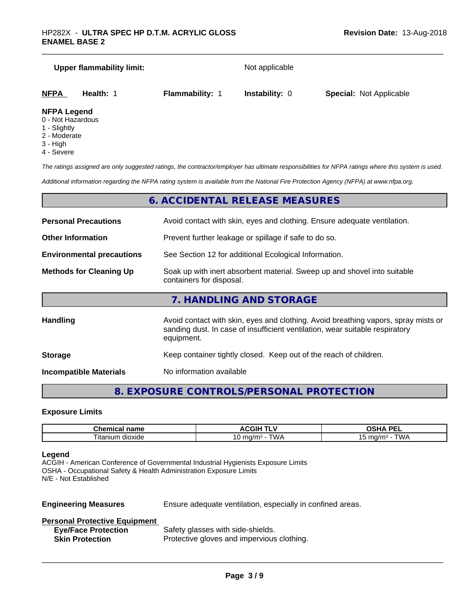# **Upper flammability limit:** Not applicable **NFPA Health:** 1 **Flammability:** 1 **Instability:** 0 **Special:** Not Applicable

# **NFPA Legend**

- 0 Not Hazardous
- 1 Slightly
- 2 Moderate
- 3 High
- 4 Severe

*The ratings assigned are only suggested ratings, the contractor/employer has ultimate responsibilities for NFPA ratings where this system is used.*

*Additional information regarding the NFPA rating system is available from the National Fire Protection Agency (NFPA) at www.nfpa.org.*

#### **6. ACCIDENTAL RELEASE MEASURES**

| <b>Personal Precautions</b>      | Avoid contact with skin, eyes and clothing. Ensure adequate ventilation.                                                                                                         |  |
|----------------------------------|----------------------------------------------------------------------------------------------------------------------------------------------------------------------------------|--|
| <b>Other Information</b>         | Prevent further leakage or spillage if safe to do so.                                                                                                                            |  |
| <b>Environmental precautions</b> | See Section 12 for additional Ecological Information.                                                                                                                            |  |
| <b>Methods for Cleaning Up</b>   | Soak up with inert absorbent material. Sweep up and shovel into suitable<br>containers for disposal.                                                                             |  |
|                                  | 7. HANDLING AND STORAGE                                                                                                                                                          |  |
| <b>Handling</b>                  | Avoid contact with skin, eyes and clothing. Avoid breathing vapors, spray mists or<br>sanding dust. In case of insufficient ventilation, wear suitable respiratory<br>equipment. |  |
|                                  |                                                                                                                                                                                  |  |

**Storage** Keep container tightly closed. Keep out of the reach of children.

**Incompatible Materials** No information available

#### **8. EXPOSURE CONTROLS/PERSONAL PROTECTION**

#### **Exposure Limits**

| <b>Champion</b><br>$-$<br>⊶ne.<br>.<br>$\blacksquare$<br>. | $\triangle W$<br>чu.           | <b>DE</b><br>$\mathbf{r}$<br>-- |
|------------------------------------------------------------|--------------------------------|---------------------------------|
| -<br>. itaniur<br>dioxide                                  | ٬۱۸٬<br>. 1/ r<br>.<br>U<br>שו | $max$ $lim$<br>. .              |

#### **Legend**

ACGIH - American Conference of Governmental Industrial Hygienists Exposure Limits OSHA - Occupational Safety & Health Administration Exposure Limits N/E - Not Established

**Engineering Measures** Ensure adequate ventilation, especially in confined areas.

 $\overline{\phantom{a}}$  ,  $\overline{\phantom{a}}$  ,  $\overline{\phantom{a}}$  ,  $\overline{\phantom{a}}$  ,  $\overline{\phantom{a}}$  ,  $\overline{\phantom{a}}$  ,  $\overline{\phantom{a}}$  ,  $\overline{\phantom{a}}$  ,  $\overline{\phantom{a}}$  ,  $\overline{\phantom{a}}$  ,  $\overline{\phantom{a}}$  ,  $\overline{\phantom{a}}$  ,  $\overline{\phantom{a}}$  ,  $\overline{\phantom{a}}$  ,  $\overline{\phantom{a}}$  ,  $\overline{\phantom{a}}$ 

#### **Personal Protective Equipment**

| <b>Eye/Face Protection</b> | Safety glasses with side-shields.          |
|----------------------------|--------------------------------------------|
| <b>Skin Protection</b>     | Protective gloves and impervious clothing. |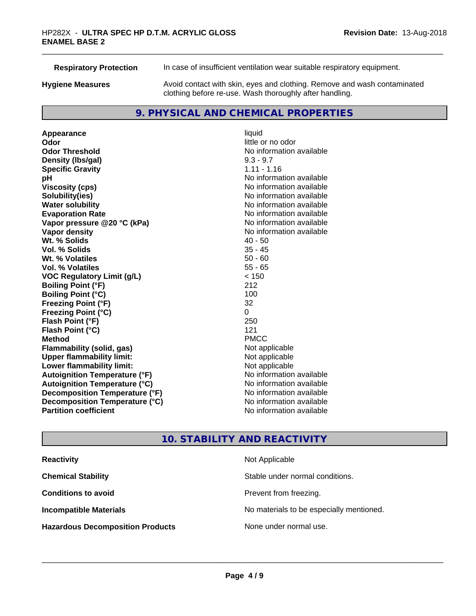| <b>Respiratory Protection</b> | In case of insufficient ventilation wear suitable respiratory equipment.                                                            |
|-------------------------------|-------------------------------------------------------------------------------------------------------------------------------------|
| <b>Hygiene Measures</b>       | Avoid contact with skin, eyes and clothing. Remove and wash contaminated<br>clothing before re-use. Wash thoroughly after handling. |

#### **9. PHYSICAL AND CHEMICAL PROPERTIES**

**Appearance** liquid<br> **Appearance** liquid<br> **Odor Odor Odor** little or no odor<br> **Odor Threshold Containery of the Containery of the Containery of the Containery of the Containery of the Containery of the Containery of the Containery of the Containery of the Container Density (Ibs/gal)** 9.3 - 9.7 **Specific Gravity** 1.11 - 1.16 **pH** No information available **Viscosity (cps)** No information available **Solubility(ies)**<br> **Solubility**<br> **Water solubility**<br> **Water solubility Evaporation Rate No information available No information available Vapor pressure @20 °C (kPa)** No information available **Vapor density No information available No** information available **Wt. % Solids** 40 - 50 **Vol. % Solids** 35 - 45 **Wt. % Volatiles Vol. % Volatiles** 55 - 65 **VOC Regulatory Limit (g/L)** < 150 **Boiling Point (°F)** 212 **Boiling Point (°C)** 100 **Freezing Point (°F)** 32 **Freezing Point (°C)** 0 **Flash Point (°F) Flash Point (°C)** 121 **Method** PMCC **Flammability (solid, gas)**<br> **Upper flammability limit:**<br>
Upper flammability limit:<br>
Not applicable **Upper flammability limit: Lower flammability limit:**<br> **Autoignition Temperature (°F)** Not applicable havailable available **Autoignition Temperature (°F) Autoignition Temperature (°C)** No information available **Decomposition Temperature (°F)** No information available **Decomposition Temperature (°C)** No information available **Partition coefficient Contract Community No information available** 

**No information available No information available** 

## **10. STABILITY AND REACTIVITY**

| <b>Reactivity</b>                       | Not Applicable                           |
|-----------------------------------------|------------------------------------------|
| <b>Chemical Stability</b>               | Stable under normal conditions.          |
| <b>Conditions to avoid</b>              | Prevent from freezing.                   |
| <b>Incompatible Materials</b>           | No materials to be especially mentioned. |
| <b>Hazardous Decomposition Products</b> | None under normal use.                   |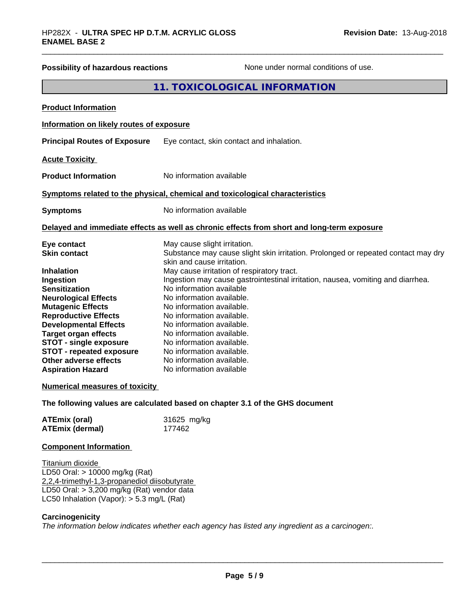| <b>Possibility of hazardous reactions</b><br>None under normal conditions of use.                                                                                                                                                                                                                                                               |                                                                                                                                                                                                                                                                                                                                                                                                                               |  |
|-------------------------------------------------------------------------------------------------------------------------------------------------------------------------------------------------------------------------------------------------------------------------------------------------------------------------------------------------|-------------------------------------------------------------------------------------------------------------------------------------------------------------------------------------------------------------------------------------------------------------------------------------------------------------------------------------------------------------------------------------------------------------------------------|--|
|                                                                                                                                                                                                                                                                                                                                                 | 11. TOXICOLOGICAL INFORMATION                                                                                                                                                                                                                                                                                                                                                                                                 |  |
| <b>Product Information</b>                                                                                                                                                                                                                                                                                                                      |                                                                                                                                                                                                                                                                                                                                                                                                                               |  |
| Information on likely routes of exposure                                                                                                                                                                                                                                                                                                        |                                                                                                                                                                                                                                                                                                                                                                                                                               |  |
| <b>Principal Routes of Exposure</b>                                                                                                                                                                                                                                                                                                             | Eye contact, skin contact and inhalation.                                                                                                                                                                                                                                                                                                                                                                                     |  |
| <b>Acute Toxicity</b>                                                                                                                                                                                                                                                                                                                           |                                                                                                                                                                                                                                                                                                                                                                                                                               |  |
| <b>Product Information</b>                                                                                                                                                                                                                                                                                                                      | No information available                                                                                                                                                                                                                                                                                                                                                                                                      |  |
|                                                                                                                                                                                                                                                                                                                                                 | Symptoms related to the physical, chemical and toxicological characteristics                                                                                                                                                                                                                                                                                                                                                  |  |
| <b>Symptoms</b>                                                                                                                                                                                                                                                                                                                                 | No information available                                                                                                                                                                                                                                                                                                                                                                                                      |  |
|                                                                                                                                                                                                                                                                                                                                                 | Delayed and immediate effects as well as chronic effects from short and long-term exposure                                                                                                                                                                                                                                                                                                                                    |  |
| Eye contact<br><b>Skin contact</b>                                                                                                                                                                                                                                                                                                              | May cause slight irritation.<br>Substance may cause slight skin irritation. Prolonged or repeated contact may dry<br>skin and cause irritation.                                                                                                                                                                                                                                                                               |  |
| <b>Inhalation</b><br>Ingestion<br><b>Sensitization</b><br><b>Neurological Effects</b><br><b>Mutagenic Effects</b><br><b>Reproductive Effects</b><br><b>Developmental Effects</b><br><b>Target organ effects</b><br><b>STOT - single exposure</b><br><b>STOT - repeated exposure</b><br><b>Other adverse effects</b><br><b>Aspiration Hazard</b> | May cause irritation of respiratory tract.<br>Ingestion may cause gastrointestinal irritation, nausea, vomiting and diarrhea.<br>No information available<br>No information available.<br>No information available.<br>No information available.<br>No information available.<br>No information available.<br>No information available.<br>No information available.<br>No information available.<br>No information available |  |
| <b>Numerical measures of toxicity</b>                                                                                                                                                                                                                                                                                                           |                                                                                                                                                                                                                                                                                                                                                                                                                               |  |
|                                                                                                                                                                                                                                                                                                                                                 | The following values are calculated based on chapter 3.1 of the GHS document                                                                                                                                                                                                                                                                                                                                                  |  |
| <b>ATEmix (oral)</b><br><b>ATEmix (dermal)</b>                                                                                                                                                                                                                                                                                                  | 31625 mg/kg<br>177462                                                                                                                                                                                                                                                                                                                                                                                                         |  |
| <b>Component Information</b>                                                                                                                                                                                                                                                                                                                    |                                                                                                                                                                                                                                                                                                                                                                                                                               |  |
| Titanium dioxide<br>LD50 Oral: > 10000 mg/kg (Rat)<br>2,2,4-trimethyl-1,3-propanediol diisobutyrate<br>LD50 Oral: > 3,200 mg/kg (Rat) vendor data<br>LC50 Inhalation (Vapor): $> 5.3$ mg/L (Rat)                                                                                                                                                |                                                                                                                                                                                                                                                                                                                                                                                                                               |  |
| Carcinogenicity                                                                                                                                                                                                                                                                                                                                 |                                                                                                                                                                                                                                                                                                                                                                                                                               |  |

*The information below indicateswhether each agency has listed any ingredient as a carcinogen:.*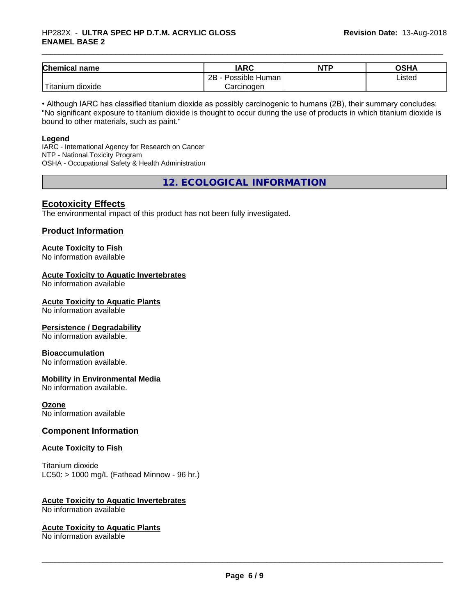#### \_\_\_\_\_\_\_\_\_\_\_\_\_\_\_\_\_\_\_\_\_\_\_\_\_\_\_\_\_\_\_\_\_\_\_\_\_\_\_\_\_\_\_\_\_\_\_\_\_\_\_\_\_\_\_\_\_\_\_\_\_\_\_\_\_\_\_\_\_\_\_\_\_\_\_\_\_\_\_\_\_\_\_\_\_\_\_\_\_\_\_\_\_ HP282X - **ULTRA SPEC HP D.T.M. ACRYLIC GLOSS ENAMEL BASE 2**

| <b>Chemical name</b>                       | <b>IARC</b>          | <b>NTP</b> | OSHA   |
|--------------------------------------------|----------------------|------------|--------|
|                                            | 2B<br>Possible Human |            | Listed |
| . . <del>. .</del><br>dioxide<br>l itanıum | Carcinogen           |            |        |

• Although IARC has classified titanium dioxide as possibly carcinogenic to humans (2B), their summary concludes: "No significant exposure to titanium dioxide is thought to occur during the use of products in which titanium dioxide is bound to other materials, such as paint."

#### **Legend**

IARC - International Agency for Research on Cancer NTP - National Toxicity Program OSHA - Occupational Safety & Health Administration

**12. ECOLOGICAL INFORMATION**

#### **Ecotoxicity Effects**

The environmental impact of this product has not been fully investigated.

#### **Product Information**

# **Acute Toxicity to Fish**

No information available

#### **Acute Toxicity to Aquatic Invertebrates**

No information available

#### **Acute Toxicity to Aquatic Plants**

No information available

#### **Persistence / Degradability**

No information available.

#### **Bioaccumulation**

No information available.

#### **Mobility in Environmental Media**

No information available.

#### **Ozone**

No information available

#### **Component Information**

#### **Acute Toxicity to Fish**

Titanium dioxide  $LC50:$  > 1000 mg/L (Fathead Minnow - 96 hr.)

#### **Acute Toxicity to Aquatic Invertebrates**

No information available

#### **Acute Toxicity to Aquatic Plants**

No information available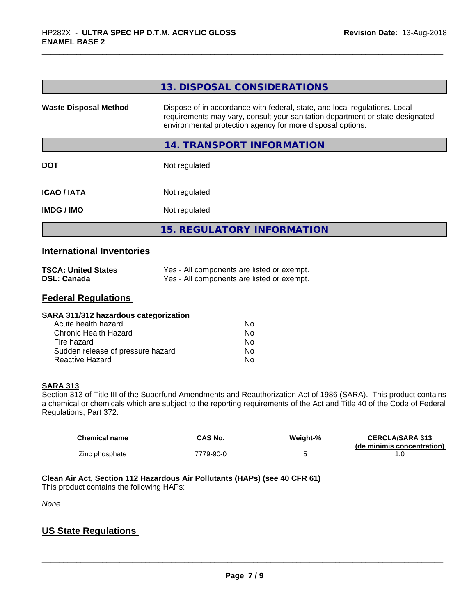|                                                      | 13. DISPOSAL CONSIDERATIONS                                                                                                                                                                                               |
|------------------------------------------------------|---------------------------------------------------------------------------------------------------------------------------------------------------------------------------------------------------------------------------|
| <b>Waste Disposal Method</b>                         | Dispose of in accordance with federal, state, and local regulations. Local<br>requirements may vary, consult your sanitation department or state-designated<br>environmental protection agency for more disposal options. |
|                                                      | 14. TRANSPORT INFORMATION                                                                                                                                                                                                 |
| <b>DOT</b>                                           | Not regulated                                                                                                                                                                                                             |
| <b>ICAO/IATA</b>                                     | Not regulated                                                                                                                                                                                                             |
| <b>IMDG / IMO</b>                                    | Not regulated                                                                                                                                                                                                             |
|                                                      | <b>15. REGULATORY INFORMATION</b>                                                                                                                                                                                         |
| والمتلوث والمتحدد وماليا الحرود والتجاري ومعروفاتهما |                                                                                                                                                                                                                           |

#### **International Inventories**

| <b>TSCA: United States</b> | Yes - All components are listed or exempt. |
|----------------------------|--------------------------------------------|
| <b>DSL: Canada</b>         | Yes - All components are listed or exempt. |

#### **Federal Regulations**

| SARA 311/312 hazardous categorization |    |  |
|---------------------------------------|----|--|
| Acute health hazard                   | Nο |  |
| Chronic Health Hazard                 | No |  |
| Fire hazard                           | Nο |  |
| Sudden release of pressure hazard     | Nο |  |
| Reactive Hazard                       | No |  |

#### **SARA 313**

Section 313 of Title III of the Superfund Amendments and Reauthorization Act of 1986 (SARA). This product contains a chemical or chemicals which are subject to the reporting requirements of the Act and Title 40 of the Code of Federal Regulations, Part 372:

| Chemical name  | CAS No.   | Weight-% | <b>CERCLA/SARA 313</b>     |
|----------------|-----------|----------|----------------------------|
|                |           |          | (de minimis concentration) |
| Zinc phosphate | 7779-90-0 |          |                            |

# **Clean Air Act,Section 112 Hazardous Air Pollutants (HAPs) (see 40 CFR 61)**

This product contains the following HAPs:

*None*

### **US State Regulations**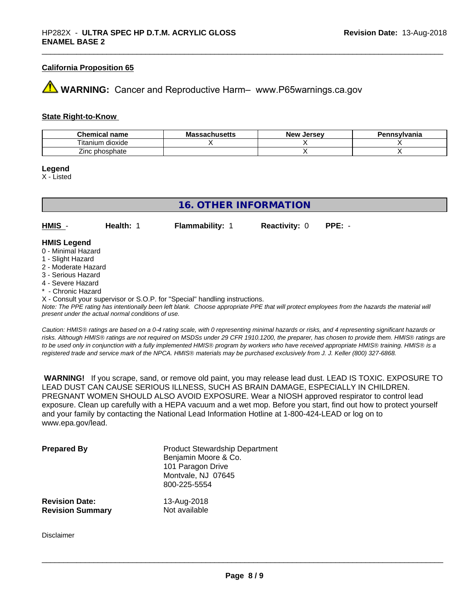#### **California Proposition 65**

# **WARNING:** Cancer and Reproductive Harm– www.P65warnings.ca.gov

#### **State Right-to-Know**

| Chemical<br>name           | המח<br>aunustus | <b>Jersev</b><br>New | Pennsvlvania |
|----------------------------|-----------------|----------------------|--------------|
| l itanium<br>dioxide       |                 |                      |              |
| --<br>: phosphate<br>∠inc∴ |                 |                      |              |

**Legend**

X - Listed

| <b>16. OTHER INFORMATION</b> |           |                                                                            |                      |          |  |
|------------------------------|-----------|----------------------------------------------------------------------------|----------------------|----------|--|
|                              |           |                                                                            |                      |          |  |
| HMIS -                       | Health: 1 | <b>Flammability: 1</b>                                                     | <b>Reactivity: 0</b> | $PPE: -$ |  |
|                              |           |                                                                            |                      |          |  |
| <b>HMIS Legend</b>           |           |                                                                            |                      |          |  |
| 0 - Minimal Hazard           |           |                                                                            |                      |          |  |
| 1 - Slight Hazard            |           |                                                                            |                      |          |  |
| 2 - Moderate Hazard          |           |                                                                            |                      |          |  |
| 3 - Serious Hazard           |           |                                                                            |                      |          |  |
| 4 - Severe Hazard            |           |                                                                            |                      |          |  |
| * - Chronic Hazard           |           |                                                                            |                      |          |  |
|                              |           | X - Consult your supervisor or S.O.P. for "Special" handling instructions. |                      |          |  |

*Note: The PPE rating has intentionally been left blank. Choose appropriate PPE that will protect employees from the hazards the material will present under the actual normal conditions of use.*

*Caution: HMISÒ ratings are based on a 0-4 rating scale, with 0 representing minimal hazards or risks, and 4 representing significant hazards or risks. Although HMISÒ ratings are not required on MSDSs under 29 CFR 1910.1200, the preparer, has chosen to provide them. HMISÒ ratings are to be used only in conjunction with a fully implemented HMISÒ program by workers who have received appropriate HMISÒ training. HMISÒ is a registered trade and service mark of the NPCA. HMISÒ materials may be purchased exclusively from J. J. Keller (800) 327-6868.*

 **WARNING!** If you scrape, sand, or remove old paint, you may release lead dust. LEAD IS TOXIC. EXPOSURE TO LEAD DUST CAN CAUSE SERIOUS ILLNESS, SUCH AS BRAIN DAMAGE, ESPECIALLY IN CHILDREN. PREGNANT WOMEN SHOULD ALSO AVOID EXPOSURE. Wear a NIOSH approved respirator to control lead exposure. Clean up carefully with a HEPA vacuum and a wet mop. Before you start, find out how to protect yourself and your family by contacting the National Lead Information Hotline at 1-800-424-LEAD or log on to www.epa.gov/lead.

| <b>Prepared By</b>      | <b>Product Stewardship Department</b><br>Benjamin Moore & Co.<br>101 Paragon Drive<br>Montvale, NJ 07645<br>800-225-5554 |
|-------------------------|--------------------------------------------------------------------------------------------------------------------------|
| <b>Revision Date:</b>   | 13-Aug-2018                                                                                                              |
| <b>Revision Summary</b> | Not available                                                                                                            |

Disclaimer